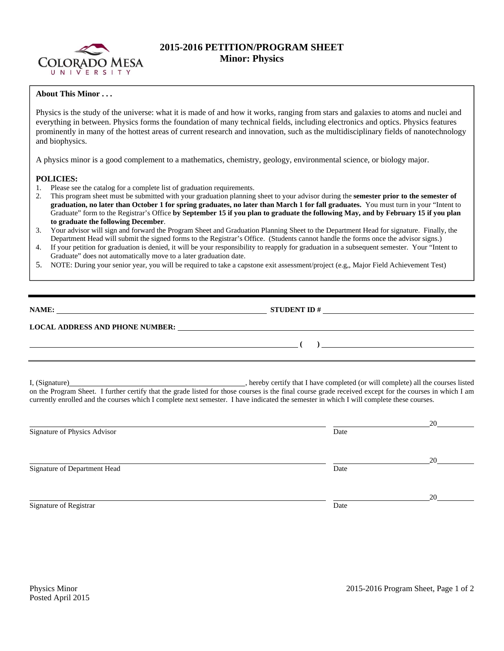

## **2015-2016 PETITION/PROGRAM SHEET Minor: Physics**

## **About This Minor . . .**

Physics is the study of the universe: what it is made of and how it works, ranging from stars and galaxies to atoms and nuclei and everything in between. Physics forms the foundation of many technical fields, including electronics and optics. Physics features prominently in many of the hottest areas of current research and innovation, such as the multidisciplinary fields of nanotechnology and biophysics.

A physics minor is a good complement to a mathematics, chemistry, geology, environmental science, or biology major.

## **POLICIES:**

- 1. Please see the catalog for a complete list of graduation requirements.
- 2. This program sheet must be submitted with your graduation planning sheet to your advisor during the **semester prior to the semester of graduation, no later than October 1 for spring graduates, no later than March 1 for fall graduates.** You must turn in your "Intent to Graduate" form to the Registrar's Office **by September 15 if you plan to graduate the following May, and by February 15 if you plan to graduate the following December**.
- 3. Your advisor will sign and forward the Program Sheet and Graduation Planning Sheet to the Department Head for signature. Finally, the Department Head will submit the signed forms to the Registrar's Office. (Students cannot handle the forms once the advisor signs.)
- 4. If your petition for graduation is denied, it will be your responsibility to reapply for graduation in a subsequent semester. Your "Intent to Graduate" does not automatically move to a later graduation date.
- 5. NOTE: During your senior year, you will be required to take a capstone exit assessment/project (e.g,, Major Field Achievement Test)

| NAME:<br><u> 1980 - Jan Sterling von Berling von Berling von Berling von Berling von Berling von Berling von Berling von B</u> | <b>STUDENT ID#</b> |  |
|--------------------------------------------------------------------------------------------------------------------------------|--------------------|--|
| <b>LOCAL ADDRESS AND PHONE NUMBER:</b>                                                                                         |                    |  |
|                                                                                                                                |                    |  |
|                                                                                                                                |                    |  |

I, (Signature) , hereby certify that I have completed (or will complete) all the courses listed on the Program Sheet. I further certify that the grade listed for those courses is the final course grade received except for the courses in which I am currently enrolled and the courses which I complete next semester. I have indicated the semester in which I will complete these courses.

|                              |      | 20 |
|------------------------------|------|----|
| Signature of Physics Advisor | Date |    |
|                              |      | 20 |
| Signature of Department Head | Date |    |
|                              |      | 20 |
| Signature of Registrar       | Date |    |